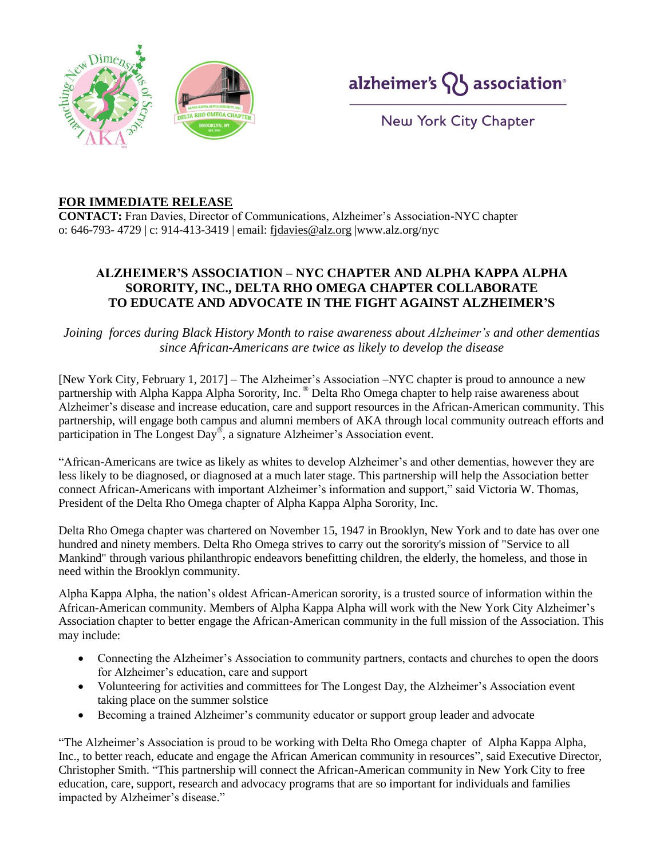



New York City Chapter

## **FOR IMMEDIATE RELEASE**

**CONTACT:** Fran Davies, Director of Communications, Alzheimer's Association-NYC chapter o: 646-793- 4729 | c: 914-413-3419 | email: [fjdavies@alz.org](mailto:fjdavies@alz.org) |www.alz.org/nyc

## **ALZHEIMER'S ASSOCIATION – NYC CHAPTER AND ALPHA KAPPA ALPHA SORORITY, INC., DELTA RHO OMEGA CHAPTER COLLABORATE TO EDUCATE AND ADVOCATE IN THE FIGHT AGAINST ALZHEIMER'S**

*Joining forces during Black History Month to raise awareness about Alzheimer's and other dementias since African-Americans are twice as likely to develop the disease*

[New York City, February 1, 2017] – The Alzheimer's Association –NYC chapter is proud to announce a new partnership with Alpha Kappa Alpha Sorority, Inc. ® Delta Rho Omega chapter to help raise awareness about Alzheimer's disease and increase education, care and support resources in the African-American community. This partnership, will engage both campus and alumni members of AKA through local community outreach efforts and participation in The Longest Day® , a signature Alzheimer's Association event.

"African-Americans are twice as likely as whites to develop Alzheimer's and other dementias, however they are less likely to be diagnosed, or diagnosed at a much later stage. This partnership will help the Association better connect African-Americans with important Alzheimer's information and support," said Victoria W. Thomas, President of the Delta Rho Omega chapter of Alpha Kappa Alpha Sorority, Inc.

Delta Rho Omega chapter was chartered on November 15, 1947 in Brooklyn, New York and to date has over one hundred and ninety members. Delta Rho Omega strives to carry out the sorority's mission of "Service to all Mankind" through various philanthropic endeavors benefitting children, the elderly, the homeless, and those in need within the Brooklyn community.

Alpha Kappa Alpha, the nation's oldest African-American sorority, is a trusted source of information within the African-American community. Members of Alpha Kappa Alpha will work with the New York City Alzheimer's Association chapter to better engage the African-American community in the full mission of the Association. This may include:

- Connecting the Alzheimer's Association to community partners, contacts and churches to open the doors for Alzheimer's education, care and support
- Volunteering for activities and committees for The Longest Day, the Alzheimer's Association event taking place on the summer solstice
- Becoming a trained Alzheimer's community educator or support group leader and advocate

"The Alzheimer's Association is proud to be working with Delta Rho Omega chapter of Alpha Kappa Alpha, Inc., to better reach, educate and engage the African American community in resources", said Executive Director, Christopher Smith. "This partnership will connect the African-American community in New York City to free education, care, support, research and advocacy programs that are so important for individuals and families impacted by Alzheimer's disease."